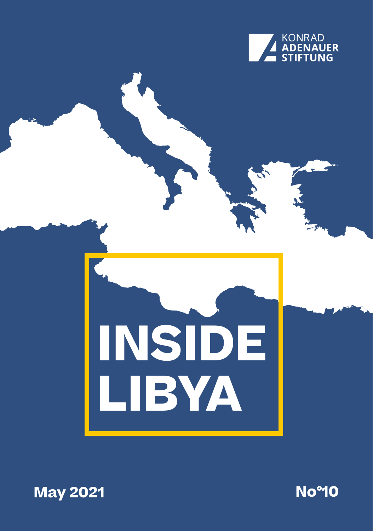

# **INSIDE LIBYA**



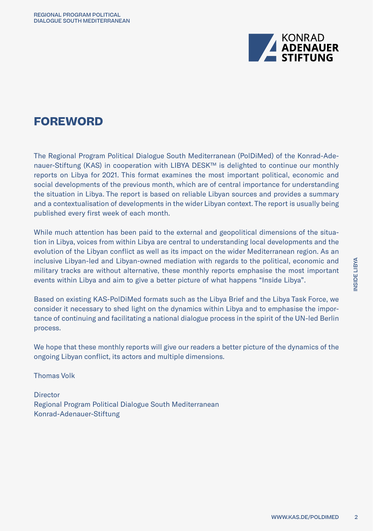

# **FOREWORD**

The Regional Program Political Dialogue South Mediterranean (PolDiMed) of the Konrad-Adenauer-Stiftung (KAS) in cooperation with LIBYA DESK™ is delighted to continue our monthly reports on Libya for 2021. This format examines the most important political, economic and social developments of the previous month, which are of central importance for understanding the situation in Libya. The report is based on reliable Libyan sources and provides a summary and a contextualisation of developments in the wider Libyan context. The report is usually being published every first week of each month.

While much attention has been paid to the external and geopolitical dimensions of the situation in Libya, voices from within Libya are central to understanding local developments and the evolution of the Libyan conflict as well as its impact on the wider Mediterranean region. As an inclusive Libyan-led and Libyan-owned mediation with regards to the political, economic and military tracks are without alternative, these monthly reports emphasise the most important events within Libya and aim to give a better picture of what happens "Inside Libya".

Based on existing KAS-PolDiMed formats such as the Libya Brief and the Libya Task Force, we consider it necessary to shed light on the dynamics within Libya and to emphasise the importance of continuing and facilitating a national dialogue process in the spirit of the UN-led Berlin process.

We hope that these monthly reports will give our readers a better picture of the dynamics of the ongoing Libyan conflict, its actors and multiple dimensions.

Thomas Volk

**Director** Regional Program Political Dialogue South Mediterranean Konrad-Adenauer-Stiftung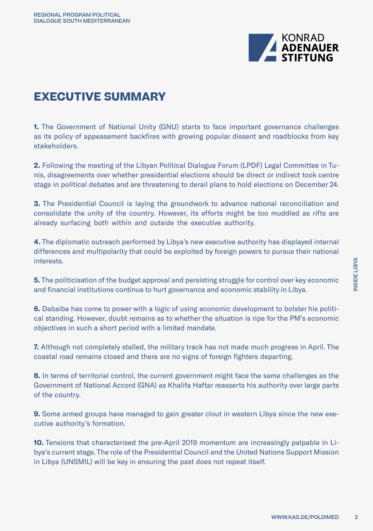

# **EXECUTIVE SUMMARY**

**1.** The Government of National Unity (GNU) starts to face important governance challenges as its policy of appeasement backfires with growing popular dissent and roadblocks from key stakeholders.

**2.** Following the meeting of the Libyan Political Dialogue Forum (LPDF) Legal Committee in Tunis, disagreements over whether presidential elections should be direct or indirect took centre stage in political debates and are threatening to derail plans to hold elections on December 24.

**3.** The Presidential Council is laying the groundwork to advance national reconciliation and consolidate the unity of the country. However, its efforts might be too muddled as rifts are already surfacing both within and outside the executive authority.

**4.** The diplomatic outreach performed by Libya's new executive authority has displayed internal differences and multipolarity that could be exploited by foreign powers to pursue their national interests.

**5.** The politicisation of the budget approval and persisting struggle for control over key economic and financial institutions continue to hurt governance and economic stability in Libya.

**6.** Dabaiba has come to power with a logic of using economic development to bolster his political standing. However, doubt remains as to whether the situation is ripe for the PM's economic objectives in such a short period with a limited mandate.

**7.** Although not completely stalled, the military track has not made much progress in April. The coastal road remains closed and there are no signs of foreign fighters departing.

**8.** In terms of territorial control, the current government might face the same challenges as the Government of National Accord (GNA) as Khalifa Haftar reasserts his authority over large parts of the country.

**9.** Some armed groups have managed to gain greater clout in western Libya since the new executive authority's formation.

**10.** Tensions that characterised the pre-April 2019 momentum are increasingly palpable in Libya's current stage. The role of the Presidential Council and the United Nations Support Mission in Libya (UNSMIL) will be key in ensuring the past does not repeat itself.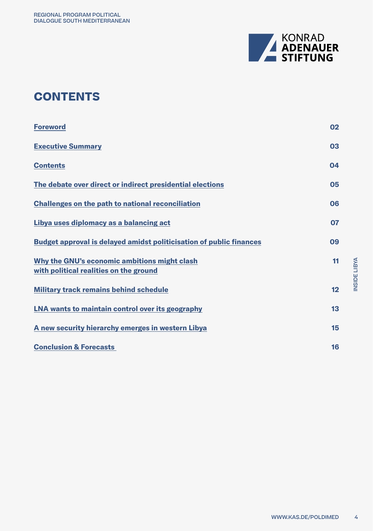

# **CONTENTS**

| <b>Foreword</b>                                                                        | 02 |
|----------------------------------------------------------------------------------------|----|
| <b>Executive Summary</b>                                                               | 03 |
| <b>Contents</b>                                                                        | 04 |
| The debate over direct or indirect presidential elections                              | 05 |
| <b>Challenges on the path to national reconciliation</b>                               | 06 |
| Libya uses diplomacy as a balancing act                                                | 07 |
| <b>Budget approval is delayed amidst politicisation of public finances</b>             | 09 |
| Why the GNU's economic ambitions might clash<br>with political realities on the ground | 11 |
| <b>Military track remains behind schedule</b>                                          | 12 |
| LNA wants to maintain control over its geography                                       | 13 |
| A new security hierarchy emerges in western Libya                                      | 15 |
| <b>Conclusion &amp; Forecasts</b>                                                      | 16 |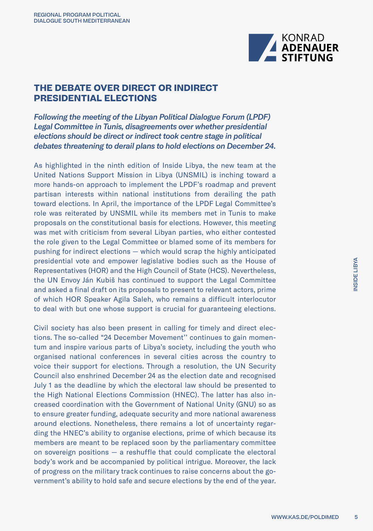

## **THE DEBATE OVER DIRECT OR INDIRECT PRESIDENTIAL ELECTIONS**

*Following the meeting of the Libyan Political Dialogue Forum (LPDF) Legal Committee in Tunis, disagreements over whether presidential elections should be direct or indirect took centre stage in political debates threatening to derail plans to hold elections on December 24.* 

As highlighted in the ninth edition of Inside Libya, the new team at the United Nations Support Mission in Libya (UNSMIL) is inching toward a more hands-on approach to implement the LPDF's roadmap and prevent partisan interests within national institutions from derailing the path toward elections. In April, the importance of the LPDF Legal Committee's role was reiterated by UNSMIL while its members met in Tunis to make proposals on the constitutional basis for elections. However, this meeting was met with criticism from several Libyan parties, who either contested the role given to the Legal Committee or blamed some of its members for pushing for indirect elections — which would scrap the highly anticipated presidential vote and empower legislative bodies such as the House of Representatives (HOR) and the High Council of State (HCS). Nevertheless, the UN Envoy Ján Kubiš has continued to support the Legal Committee and asked a final draft on its proposals to present to relevant actors, prime of which HOR Speaker Agila Saleh, who remains a difficult interlocutor to deal with but one whose support is crucial for guaranteeing elections.

Civil society has also been present in calling for timely and direct elections. The so-called "24 December Movement'' continues to gain momentum and inspire various parts of Libya's society, including the youth who organised national conferences in several cities across the country to voice their support for elections. Through a resolution, the UN Security Council also enshrined December 24 as the election date and recognised July 1 as the deadline by which the electoral law should be presented to the High National Elections Commission (HNEC). The latter has also increased coordination with the Government of National Unity (GNU) so as to ensure greater funding, adequate security and more national awareness around elections. Nonetheless, there remains a lot of uncertainty regarding the HNEC's ability to organise elections, prime of which because its members are meant to be replaced soon by the parliamentary committee on sovereign positions — a reshuffle that could complicate the electoral body's work and be accompanied by political intrigue. Moreover, the lack of progress on the military track continues to raise concerns about the government's ability to hold safe and secure elections by the end of the year.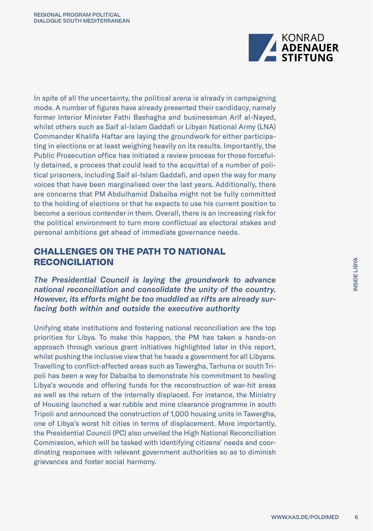

In spite of all the uncertainty, the political arena is already in campaigning mode. A number of figures have already presented their candidacy, namely former Interior Minister Fathi Bashagha and businessman Arif al-Nayed, whilst others such as Saif al-Islam Gaddafi or Libyan National Army (LNA) Commander Khalifa Haftar are laying the groundwork for either participating in elections or at least weighing heavily on its results. Importantly, the Public Prosecution office has initiated a review process for those forcefully detained, a process that could lead to the acquittal of a number of political prisoners, including Saif al-Islam Gaddafi, and open the way for many voices that have been marginalised over the last years. Additionally, there are concerns that PM Abdulhamid Dabaiba might not be fully committed to the holding of elections or that he expects to use his current position to become a serious contender in them. Overall, there is an increasing risk for the political environment to turn more conflictual as electoral stakes and personal ambitions get ahead of immediate governance needs.

### **CHALLENGES ON THE PATH TO NATIONAL RECONCILIATION**

*The Presidential Council is laying the groundwork to advance national reconciliation and consolidate the unity of the country. However, its efforts might be too muddled as rifts are already surfacing both within and outside the executive authority*

Unifying state institutions and fostering national reconciliation are the top priorities for Libya. To make this happen, the PM has taken a hands-on approach through various grant initiatives highlighted later in this report, whilst pushing the inclusive view that he heads a government for all Libyans. Travelling to conflict-affected areas such as Tawergha, Tarhuna or south Tripoli has been a way for Dabaiba to demonstrate his commitment to healing Libya's wounds and offering funds for the reconstruction of war-hit areas as well as the return of the internally displaced. For instance, the Ministry of Housing launched a war rubble and mine clearance programme in south Tripoli and announced the construction of 1,000 housing units in Tawergha, one of Libya's worst hit cities in terms of displacement. More importantly, the Presidential Council (PC) also unveiled the High National Reconciliation Commission, which will be tasked with identifying citizens' needs and coordinating responses with relevant government authorities so as to diminish grievances and foster social harmony.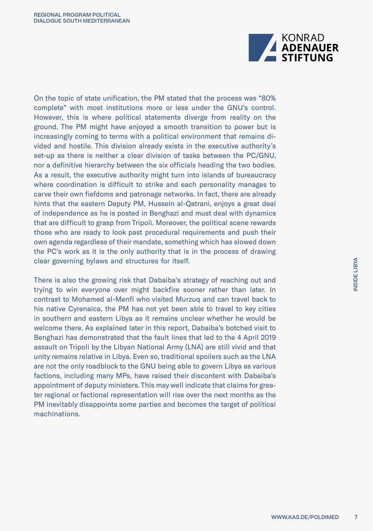

On the topic of state unification, the PM stated that the process was "80% complete" with most institutions more or less under the GNU's control. However, this is where political statements diverge from reality on the ground. The PM might have enjoyed a smooth transition to power but is increasingly coming to terms with a political environment that remains divided and hostile. This division already exists in the executive authority's set-up as there is neither a clear division of tasks between the PC/GNU, nor a definitive hierarchy between the six officials heading the two bodies. As a result, the executive authority might turn into islands of bureaucracy where coordination is difficult to strike and each personality manages to carve their own fiefdoms and patronage networks. In fact, there are already hints that the eastern Deputy PM, Hussein al-Qatrani, enjoys a great deal of independence as he is posted in Benghazi and must deal with dynamics that are difficult to grasp from Tripoli. Moreover, the political scene rewards those who are ready to look past procedural requirements and push their own agenda regardless of their mandate, something which has slowed down the PC's work as it is the only authority that is in the process of drawing clear governing bylaws and structures for itself.

There is also the growing risk that Dabaiba's strategy of reaching out and trying to win everyone over might backfire sooner rather than later. In contrast to Mohamed al-Menfi who visited Murzuq and can travel back to his native Cyrenaica, the PM has not yet been able to travel to key cities in southern and eastern Libya as it remains unclear whether he would be welcome there. As explained later in this report, Dabaiba's botched visit to Benghazi has demonstrated that the fault lines that led to the 4 April 2019 assault on Tripoli by the Libyan National Army (LNA) are still vivid and that unity remains relative in Libya. Even so, traditional spoilers such as the LNA are not the only roadblock to the GNU being able to govern Libya as various factions, including many MPs, have raised their discontent with Dabaiba's appointment of deputy ministers. This may well indicate that claims for greater regional or factional representation will rise over the next months as the PM inevitably disappoints some parties and becomes the target of political machinations.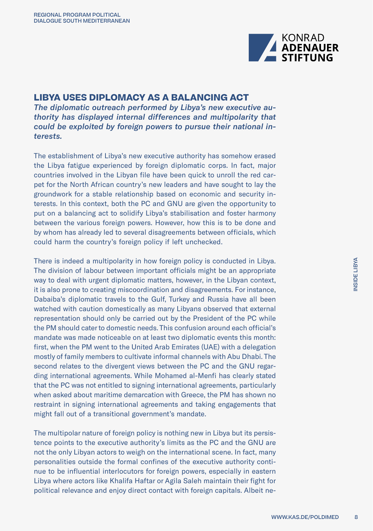

### **LIBYA USES DIPLOMACY AS A BALANCING ACT**

*The diplomatic outreach performed by Libya's new executive authority has displayed internal differences and multipolarity that could be exploited by foreign powers to pursue their national interests.* 

The establishment of Libya's new executive authority has somehow erased the Libya fatigue experienced by foreign diplomatic corps. In fact, major countries involved in the Libyan file have been quick to unroll the red carpet for the North African country's new leaders and have sought to lay the groundwork for a stable relationship based on economic and security interests. In this context, both the PC and GNU are given the opportunity to put on a balancing act to solidify Libya's stabilisation and foster harmony between the various foreign powers. However, how this is to be done and by whom has already led to several disagreements between officials, which could harm the country's foreign policy if left unchecked.

There is indeed a multipolarity in how foreign policy is conducted in Libya. The division of labour between important officials might be an appropriate way to deal with urgent diplomatic matters, however, in the Libyan context, it is also prone to creating miscoordination and disagreements. For instance, Dabaiba's diplomatic travels to the Gulf, Turkey and Russia have all been watched with caution domestically as many Libyans observed that external representation should only be carried out by the President of the PC while the PM should cater to domestic needs. This confusion around each official's mandate was made noticeable on at least two diplomatic events this month: first, when the PM went to the United Arab Emirates (UAE) with a delegation mostly of family members to cultivate informal channels with Abu Dhabi. The second relates to the divergent views between the PC and the GNU regarding international agreements. While Mohamed al-Menfi has clearly stated that the PC was not entitled to signing international agreements, particularly when asked about maritime demarcation with Greece, the PM has shown no restraint in signing international agreements and taking engagements that might fall out of a transitional government's mandate.

The multipolar nature of foreign policy is nothing new in Libya but its persistence points to the executive authority's limits as the PC and the GNU are not the only Libyan actors to weigh on the international scene. In fact, many personalities outside the formal confines of the executive authority continue to be influential interlocutors for foreign powers, especially in eastern Libya where actors like Khalifa Haftar or Agila Saleh maintain their fight for political relevance and enjoy direct contact with foreign capitals. Albeit ne-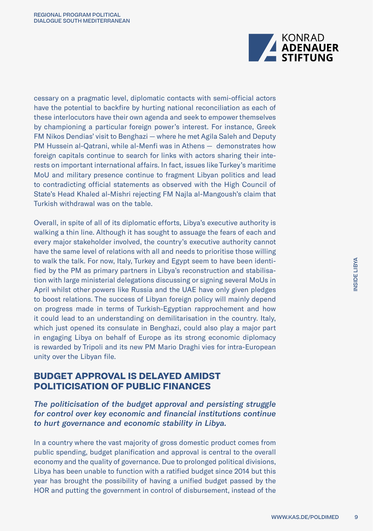

cessary on a pragmatic level, diplomatic contacts with semi-official actors have the potential to backfire by hurting national reconciliation as each of these interlocutors have their own agenda and seek to empower themselves by championing a particular foreign power's interest. For instance, Greek FM Nikos Dendias' visit to Benghazi — where he met Agila Saleh and Deputy PM Hussein al-Qatrani, while al-Menfi was in Athens — demonstrates how foreign capitals continue to search for links with actors sharing their interests on important international affairs. In fact, issues like Turkey's maritime MoU and military presence continue to fragment Libyan politics and lead to contradicting official statements as observed with the High Council of State's Head Khaled al-Mishri rejecting FM Najla al-Mangoush's claim that Turkish withdrawal was on the table.

Overall, in spite of all of its diplomatic efforts, Libya's executive authority is walking a thin line. Although it has sought to assuage the fears of each and every major stakeholder involved, the country's executive authority cannot have the same level of relations with all and needs to prioritise those willing to walk the talk. For now, Italy, Turkey and Egypt seem to have been identified by the PM as primary partners in Libya's reconstruction and stabilisation with large ministerial delegations discussing or signing several MoUs in April whilst other powers like Russia and the UAE have only given pledges to boost relations. The success of Libyan foreign policy will mainly depend on progress made in terms of Turkish-Egyptian rapprochement and how it could lead to an understanding on demilitarisation in the country. Italy, which just opened its consulate in Benghazi, could also play a major part in engaging Libya on behalf of Europe as its strong economic diplomacy is rewarded by Tripoli and its new PM Mario Draghi vies for intra-European unity over the Libyan file.

### **BUDGET APPROVAL IS DELAYED AMIDST POLITICISATION OF PUBLIC FINANCES**

*The politicisation of the budget approval and persisting struggle for control over key economic and financial institutions continue to hurt governance and economic stability in Libya.* 

In a country where the vast majority of gross domestic product comes from public spending, budget planification and approval is central to the overall economy and the quality of governance. Due to prolonged political divisions, Libya has been unable to function with a ratified budget since 2014 but this year has brought the possibility of having a unified budget passed by the HOR and putting the government in control of disbursement, instead of the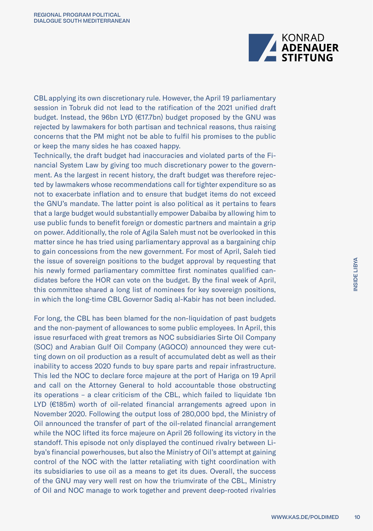

CBL applying its own discretionary rule. However, the April 19 parliamentary session in Tobruk did not lead to the ratification of the 2021 unified draft budget. Instead, the 96bn LYD (€17.7bn) budget proposed by the GNU was rejected by lawmakers for both partisan and technical reasons, thus raising concerns that the PM might not be able to fulfil his promises to the public or keep the many sides he has coaxed happy.

Technically, the draft budget had inaccuracies and violated parts of the Financial System Law by giving too much discretionary power to the government. As the largest in recent history, the draft budget was therefore rejected by lawmakers whose recommendations call for tighter expenditure so as not to exacerbate inflation and to ensure that budget items do not exceed the GNU's mandate. The latter point is also political as it pertains to fears that a large budget would substantially empower Dabaiba by allowing him to use public funds to benefit foreign or domestic partners and maintain a grip on power. Additionally, the role of Agila Saleh must not be overlooked in this matter since he has tried using parliamentary approval as a bargaining chip to gain concessions from the new government. For most of April, Saleh tied the issue of sovereign positions to the budget approval by requesting that his newly formed parliamentary committee first nominates qualified candidates before the HOR can vote on the budget. By the final week of April, this committee shared a long list of nominees for key sovereign positions, in which the long-time CBL Governor Sadiq al-Kabir has not been included.

For long, the CBL has been blamed for the non-liquidation of past budgets and the non-payment of allowances to some public employees. In April, this issue resurfaced with great tremors as NOC subsidiaries Sirte Oil Company (SOC) and Arabian Gulf Oil Company (AGOCO) announced they were cutting down on oil production as a result of accumulated debt as well as their inability to access 2020 funds to buy spare parts and repair infrastructure. This led the NOC to declare force majeure at the port of Hariga on 19 April and call on the Attorney General to hold accountable those obstructing its operations – a clear criticism of the CBL, which failed to liquidate 1bn LYD (€185m) worth of oil-related financial arrangements agreed upon in November 2020. Following the output loss of 280,000 bpd, the Ministry of Oil announced the transfer of part of the oil-related financial arrangement while the NOC lifted its force majeure on April 26 following its victory in the standoff. This episode not only displayed the continued rivalry between Libya's financial powerhouses, but also the Ministry of Oil's attempt at gaining control of the NOC with the latter retaliating with tight coordination with its subsidiaries to use oil as a means to get its dues. Overall, the success of the GNU may very well rest on how the triumvirate of the CBL, Ministry of Oil and NOC manage to work together and prevent deep-rooted rivalries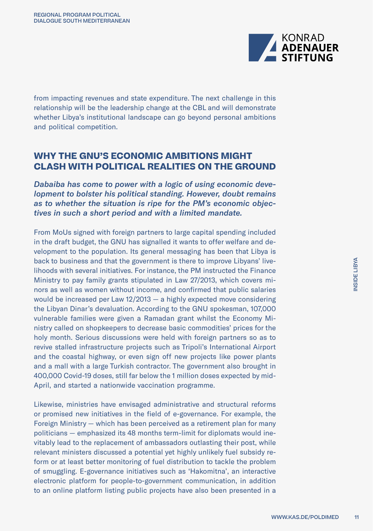

from impacting revenues and state expenditure. The next challenge in this relationship will be the leadership change at the CBL and will demonstrate whether Libya's institutional landscape can go beyond personal ambitions and political competition.

### **WHY THE GNU'S ECONOMIC AMBITIONS MIGHT CLASH WITH POLITICAL REALITIES ON THE GROUND**

*Dabaiba has come to power with a logic of using economic development to bolster his political standing. However, doubt remains as to whether the situation is ripe for the PM's economic objectives in such a short period and with a limited mandate.* 

From MoUs signed with foreign partners to large capital spending included in the draft budget, the GNU has signalled it wants to offer welfare and development to the population. Its general messaging has been that Libya is back to business and that the government is there to improve Libyans' livelihoods with several initiatives. For instance, the PM instructed the Finance Ministry to pay family grants stipulated in Law 27/2013, which covers minors as well as women without income, and confirmed that public salaries would be increased per Law 12/2013 — a highly expected move considering the Libyan Dinar's devaluation. According to the GNU spokesman, 107,000 vulnerable families were given a Ramadan grant whilst the Economy Ministry called on shopkeepers to decrease basic commodities' prices for the holy month. Serious discussions were held with foreign partners so as to revive stalled infrastructure projects such as Tripoli's International Airport and the coastal highway, or even sign off new projects like power plants and a mall with a large Turkish contractor. The government also brought in 400,000 Covid-19 doses, still far below the 1 million doses expected by mid-April, and started a nationwide vaccination programme.

Likewise, ministries have envisaged administrative and structural reforms or promised new initiatives in the field of e-governance. For example, the Foreign Ministry — which has been perceived as a retirement plan for many politicians — emphasized its 48 months term-limit for diplomats would inevitably lead to the replacement of ambassadors outlasting their post, while relevant ministers discussed a potential yet highly unlikely fuel subsidy reform or at least better monitoring of fuel distribution to tackle the problem of smuggling. E-governance initiatives such as 'Hakomitna', an interactive electronic platform for people-to-government communication, in addition to an online platform listing public projects have also been presented in a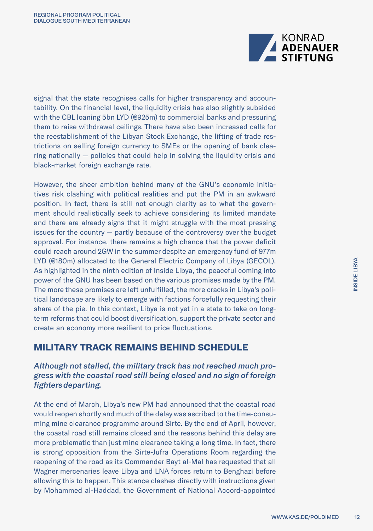

signal that the state recognises calls for higher transparency and accountability. On the financial level, the liquidity crisis has also slightly subsided with the CBL loaning 5bn LYD (€925m) to commercial banks and pressuring them to raise withdrawal ceilings. There have also been increased calls for the reestablishment of the Libyan Stock Exchange, the lifting of trade restrictions on selling foreign currency to SMEs or the opening of bank clearing nationally — policies that could help in solving the liquidity crisis and black-market foreign exchange rate.

However, the sheer ambition behind many of the GNU's economic initiatives risk clashing with political realities and put the PM in an awkward position. In fact, there is still not enough clarity as to what the government should realistically seek to achieve considering its limited mandate and there are already signs that it might struggle with the most pressing issues for the country — partly because of the controversy over the budget approval. For instance, there remains a high chance that the power deficit could reach around 2GW in the summer despite an emergency fund of 977m LYD (€180m) allocated to the General Electric Company of Libya (GECOL). As highlighted in the ninth edition of Inside Libya, the peaceful coming into power of the GNU has been based on the various promises made by the PM. The more these promises are left unfulfilled, the more cracks in Libya's political landscape are likely to emerge with factions forcefully requesting their share of the pie. In this context, Libya is not yet in a state to take on longterm reforms that could boost diversification, support the private sector and create an economy more resilient to price fluctuations.

### **MILITARY TRACK REMAINS BEHIND SCHEDULE**

### *Although not stalled, the military track has not reached much progress with the coastal road still being closed and no sign of foreign fighters departing.*

At the end of March, Libya's new PM had announced that the coastal road would reopen shortly and much of the delay was ascribed to the time-consuming mine clearance programme around Sirte. By the end of April, however, the coastal road still remains closed and the reasons behind this delay are more problematic than just mine clearance taking a long time. In fact, there is strong opposition from the Sirte-Jufra Operations Room regarding the reopening of the road as its Commander Bayt al-Mal has requested that all Wagner mercenaries leave Libya and LNA forces return to Benghazi before allowing this to happen. This stance clashes directly with instructions given by Mohammed al-Haddad, the Government of National Accord-appointed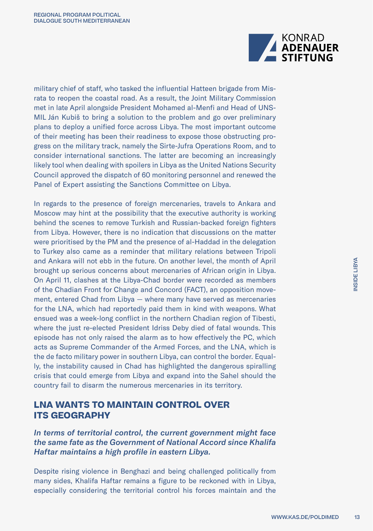

military chief of staff, who tasked the influential Hatteen brigade from Misrata to reopen the coastal road. As a result, the Joint Military Commission met in late April alongside President Mohamed al-Menfi and Head of UNS-MIL Ján Kubiš to bring a solution to the problem and go over preliminary plans to deploy a unified force across Libya. The most important outcome of their meeting has been their readiness to expose those obstructing progress on the military track, namely the Sirte-Jufra Operations Room, and to consider international sanctions. The latter are becoming an increasingly likely tool when dealing with spoilers in Libya as the United Nations Security Council approved the dispatch of 60 monitoring personnel and renewed the Panel of Expert assisting the Sanctions Committee on Libya.

In regards to the presence of foreign mercenaries, travels to Ankara and Moscow may hint at the possibility that the executive authority is working behind the scenes to remove Turkish and Russian-backed foreign fighters from Libya. However, there is no indication that discussions on the matter were prioritised by the PM and the presence of al-Haddad in the delegation to Turkey also came as a reminder that military relations between Tripoli and Ankara will not ebb in the future. On another level, the month of April brought up serious concerns about mercenaries of African origin in Libya. On April 11, clashes at the Libya-Chad border were recorded as members of the Chadian Front for Change and Concord (FACT), an opposition movement, entered Chad from Libya — where many have served as mercenaries for the LNA, which had reportedly paid them in kind with weapons. What ensued was a week-long conflict in the northern Chadian region of Tibesti, where the just re-elected President Idriss Deby died of fatal wounds. This episode has not only raised the alarm as to how effectively the PC, which acts as Supreme Commander of the Armed Forces, and the LNA, which is the de facto military power in southern Libya, can control the border. Equally, the instability caused in Chad has highlighted the dangerous spiralling crisis that could emerge from Libya and expand into the Sahel should the country fail to disarm the numerous mercenaries in its territory.

### **LNA WANTS TO MAINTAIN CONTROL OVER ITS GEOGRAPHY**

*In terms of territorial control, the current government might face the same fate as the Government of National Accord since Khalifa Haftar maintains a high profile in eastern Libya.* 

Despite rising violence in Benghazi and being challenged politically from many sides, Khalifa Haftar remains a figure to be reckoned with in Libya, especially considering the territorial control his forces maintain and the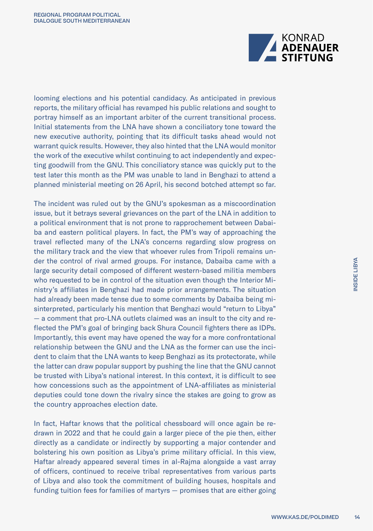

looming elections and his potential candidacy. As anticipated in previous reports, the military official has revamped his public relations and sought to portray himself as an important arbiter of the current transitional process. Initial statements from the LNA have shown a conciliatory tone toward the new executive authority, pointing that its difficult tasks ahead would not warrant quick results. However, they also hinted that the LNA would monitor the work of the executive whilst continuing to act independently and expecting goodwill from the GNU. This conciliatory stance was quickly put to the test later this month as the PM was unable to land in Benghazi to attend a planned ministerial meeting on 26 April, his second botched attempt so far.

The incident was ruled out by the GNU's spokesman as a miscoordination issue, but it betrays several grievances on the part of the LNA in addition to a political environment that is not prone to rapprochement between Dabaiba and eastern political players. In fact, the PM's way of approaching the travel reflected many of the LNA's concerns regarding slow progress on the military track and the view that whoever rules from Tripoli remains under the control of rival armed groups. For instance, Dabaiba came with a large security detail composed of different western-based militia members who requested to be in control of the situation even though the Interior Ministry's affiliates in Benghazi had made prior arrangements. The situation had already been made tense due to some comments by Dabaiba being misinterpreted, particularly his mention that Benghazi would "return to Libya" — a comment that pro-LNA outlets claimed was an insult to the city and reflected the PM's goal of bringing back Shura Council fighters there as IDPs. Importantly, this event may have opened the way for a more confrontational relationship between the GNU and the LNA as the former can use the incident to claim that the LNA wants to keep Benghazi as its protectorate, while the latter can draw popular support by pushing the line that the GNU cannot be trusted with Libya's national interest. In this context, it is difficult to see how concessions such as the appointment of LNA-affiliates as ministerial deputies could tone down the rivalry since the stakes are going to grow as the country approaches election date.

In fact, Haftar knows that the political chessboard will once again be redrawn in 2022 and that he could gain a larger piece of the pie then, either directly as a candidate or indirectly by supporting a major contender and bolstering his own position as Libya's prime military official. In this view, Haftar already appeared several times in al-Rajma alongside a vast array of officers, continued to receive tribal representatives from various parts of Libya and also took the commitment of building houses, hospitals and funding tuition fees for families of martyrs — promises that are either going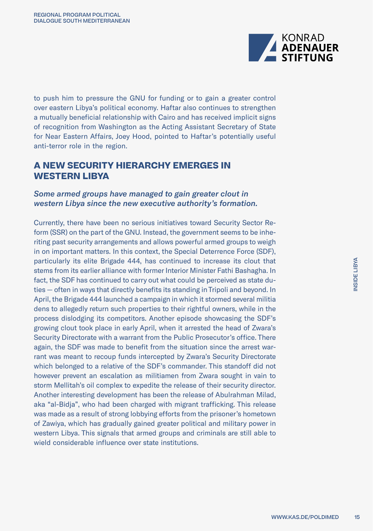

to push him to pressure the GNU for funding or to gain a greater control over eastern Libya's political economy. Haftar also continues to strengthen a mutually beneficial relationship with Cairo and has received implicit signs of recognition from Washington as the Acting Assistant Secretary of State for Near Eastern Affairs, Joey Hood, pointed to Haftar's potentially useful anti-terror role in the region.

### **A NEW SECURITY HIERARCHY EMERGES IN WESTERN LIBYA**

### *Some armed groups have managed to gain greater clout in western Libya since the new executive authority's formation.*

Currently, there have been no serious initiatives toward Security Sector Reform (SSR) on the part of the GNU. Instead, the government seems to be inheriting past security arrangements and allows powerful armed groups to weigh in on important matters. In this context, the Special Deterrence Force (SDF), particularly its elite Brigade 444, has continued to increase its clout that stems from its earlier alliance with former Interior Minister Fathi Bashagha. In fact, the SDF has continued to carry out what could be perceived as state duties — often in ways that directly benefits its standing in Tripoli and beyond. In April, the Brigade 444 launched a campaign in which it stormed several militia dens to allegedly return such properties to their rightful owners, while in the process dislodging its competitors. Another episode showcasing the SDF's growing clout took place in early April, when it arrested the head of Zwara's Security Directorate with a warrant from the Public Prosecutor's office. There again, the SDF was made to benefit from the situation since the arrest warrant was meant to recoup funds intercepted by Zwara's Security Directorate which belonged to a relative of the SDF's commander. This standoff did not however prevent an escalation as militiamen from Zwara sought in vain to storm Mellitah's oil complex to expedite the release of their security director. Another interesting development has been the release of Abulrahman Milad, aka "al-Bidja", who had been charged with migrant trafficking. This release was made as a result of strong lobbying efforts from the prisoner's hometown of Zawiya, which has gradually gained greater political and military power in western Libya. This signals that armed groups and criminals are still able to wield considerable influence over state institutions.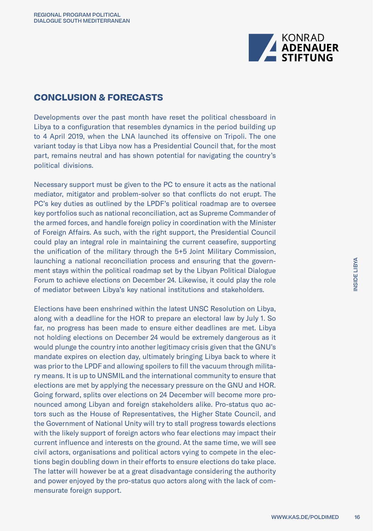

### **CONCLUSION & FORECASTS**

Developments over the past month have reset the political chessboard in Libya to a configuration that resembles dynamics in the period building up to 4 April 2019, when the LNA launched its offensive on Tripoli. The one variant today is that Libya now has a Presidential Council that, for the most part, remains neutral and has shown potential for navigating the country's political divisions.

Necessary support must be given to the PC to ensure it acts as the national mediator, mitigator and problem-solver so that conflicts do not erupt. The PC's key duties as outlined by the LPDF's political roadmap are to oversee key portfolios such as national reconciliation, act as Supreme Commander of the armed forces, and handle foreign policy in coordination with the Minister of Foreign Affairs. As such, with the right support, the Presidential Council could play an integral role in maintaining the current ceasefire, supporting the unification of the military through the 5+5 Joint Military Commission, launching a national reconciliation process and ensuring that the government stays within the political roadmap set by the Libyan Political Dialogue Forum to achieve elections on December 24. Likewise, it could play the role of mediator between Libya's key national institutions and stakeholders.

Elections have been enshrined within the latest UNSC Resolution on Libya, along with a deadline for the HOR to prepare an electoral law by July 1. So far, no progress has been made to ensure either deadlines are met. Libya not holding elections on December 24 would be extremely dangerous as it would plunge the country into another legitimacy crisis given that the GNU's mandate expires on election day, ultimately bringing Libya back to where it was prior to the LPDF and allowing spoilers to fill the vacuum through military means. It is up to UNSMIL and the international community to ensure that elections are met by applying the necessary pressure on the GNU and HOR. Going forward, splits over elections on 24 December will become more pronounced among Libyan and foreign stakeholders alike. Pro-status quo actors such as the House of Representatives, the Higher State Council, and the Government of National Unity will try to stall progress towards elections with the likely support of foreign actors who fear elections may impact their current influence and interests on the ground. At the same time, we will see civil actors, organisations and political actors vying to compete in the elections begin doubling down in their efforts to ensure elections do take place. The latter will however be at a great disadvantage considering the authority and power enjoyed by the pro-status quo actors along with the lack of commensurate foreign support.